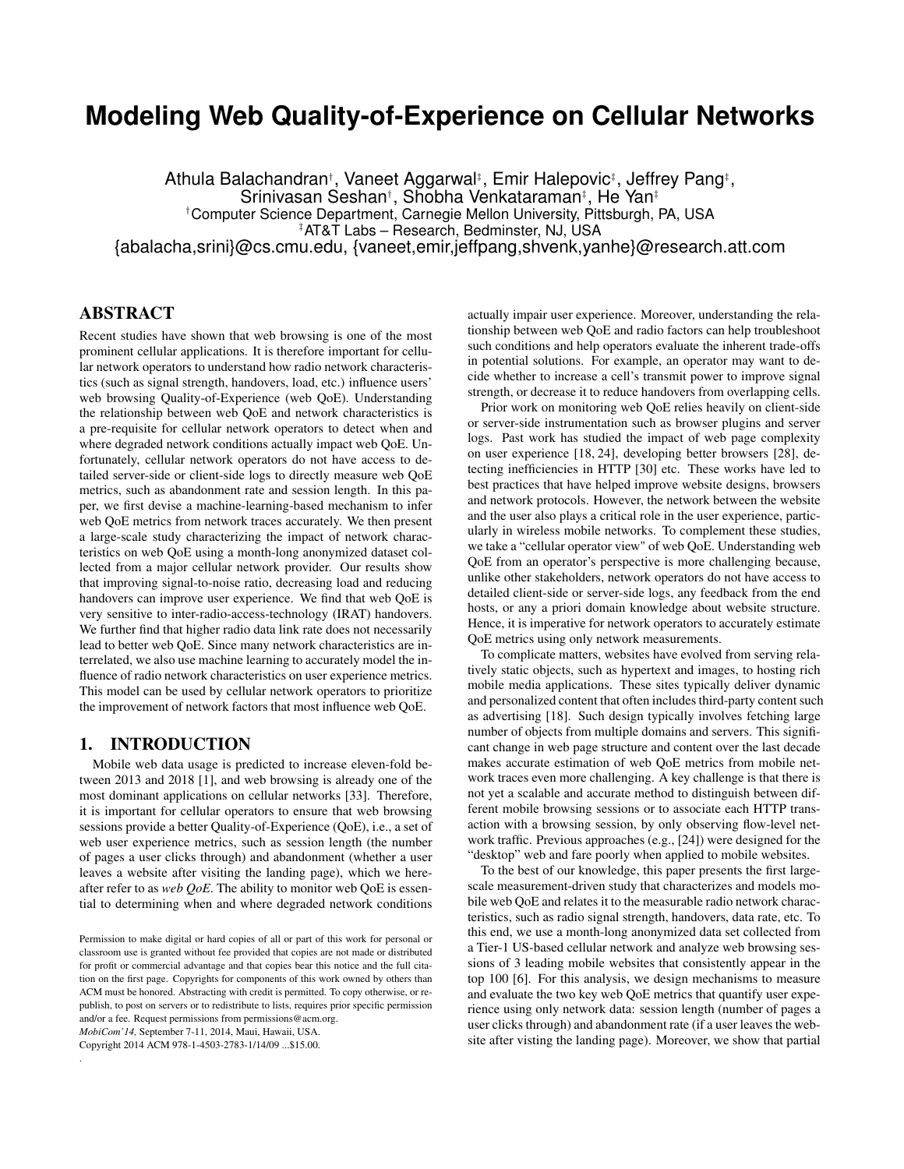# **Modeling Web Quality-of-Experience on Cellular Networks**

Athula Balachandran†, Vaneet Aggarwal‡, Emir Halepovic‡, Jeffrey Pang‡, Srinivasan Seshan† , Shobha Venkataraman‡ , He Yan‡ †Computer Science Department, Carnegie Mellon University, Pittsburgh, PA, USA ‡AT&T Labs – Research, Bedminster, NJ, USA {abalacha,srini}@cs.cmu.edu, {vaneet,emir,jeffpang,shvenk,yanhe}@research.att.com

# ABSTRACT

Recent studies have shown that web browsing is one of the most prominent cellular applications. It is therefore important for cellular network operators to understand how radio network characteristics (such as signal strength, handovers, load, etc.) influence users' web browsing Quality-of-Experience (web QoE). Understanding the relationship between web QoE and network characteristics is a pre-requisite for cellular network operators to detect when and where degraded network conditions actually impact web QoE. Unfortunately, cellular network operators do not have access to detailed server-side or client-side logs to directly measure web QoE metrics, such as abandonment rate and session length. In this paper, we first devise a machine-learning-based mechanism to infer web QoE metrics from network traces accurately. We then present a large-scale study characterizing the impact of network characteristics on web QoE using a month-long anonymized dataset collected from a major cellular network provider. Our results show that improving signal-to-noise ratio, decreasing load and reducing handovers can improve user experience. We find that web QoE is very sensitive to inter-radio-access-technology (IRAT) handovers. We further find that higher radio data link rate does not necessarily lead to better web QoE. Since many network characteristics are interrelated, we also use machine learning to accurately model the influence of radio network characteristics on user experience metrics. This model can be used by cellular network operators to prioritize the improvement of network factors that most influence web QoE.

#### 1. INTRODUCTION

Mobile web data usage is predicted to increase eleven-fold between 2013 and 2018 [1], and web browsing is already one of the most dominant applications on cellular networks [33]. Therefore, it is important for cellular operators to ensure that web browsing sessions provide a better Quality-of-Experience (QoE), i.e., a set of web user experience metrics, such as session length (the number of pages a user clicks through) and abandonment (whether a user leaves a website after visiting the landing page), which we hereafter refer to as *web QoE*. The ability to monitor web QoE is essential to determining when and where degraded network conditions

*MobiCom'14,* September 7-11, 2014, Maui, Hawaii, USA.

Copyright 2014 ACM 978-1-4503-2783-1/14/09 ...\$15.00.

.

actually impair user experience. Moreover, understanding the relationship between web QoE and radio factors can help troubleshoot such conditions and help operators evaluate the inherent trade-offs in potential solutions. For example, an operator may want to decide whether to increase a cell's transmit power to improve signal strength, or decrease it to reduce handovers from overlapping cells.

Prior work on monitoring web QoE relies heavily on client-side or server-side instrumentation such as browser plugins and server logs. Past work has studied the impact of web page complexity on user experience [18, 24], developing better browsers [28], detecting inefficiencies in HTTP [30] etc. These works have led to best practices that have helped improve website designs, browsers and network protocols. However, the network between the website and the user also plays a critical role in the user experience, particularly in wireless mobile networks. To complement these studies, we take a "cellular operator view" of web QoE. Understanding web QoE from an operator's perspective is more challenging because, unlike other stakeholders, network operators do not have access to detailed client-side or server-side logs, any feedback from the end hosts, or any a priori domain knowledge about website structure. Hence, it is imperative for network operators to accurately estimate QoE metrics using only network measurements.

To complicate matters, websites have evolved from serving relatively static objects, such as hypertext and images, to hosting rich mobile media applications. These sites typically deliver dynamic and personalized content that often includes third-party content such as advertising [18]. Such design typically involves fetching large number of objects from multiple domains and servers. This significant change in web page structure and content over the last decade makes accurate estimation of web QoE metrics from mobile network traces even more challenging. A key challenge is that there is not yet a scalable and accurate method to distinguish between different mobile browsing sessions or to associate each HTTP transaction with a browsing session, by only observing flow-level network traffic. Previous approaches (e.g., [24]) were designed for the "desktop" web and fare poorly when applied to mobile websites.

To the best of our knowledge, this paper presents the first largescale measurement-driven study that characterizes and models mobile web QoE and relates it to the measurable radio network characteristics, such as radio signal strength, handovers, data rate, etc. To this end, we use a month-long anonymized data set collected from a Tier-1 US-based cellular network and analyze web browsing sessions of 3 leading mobile websites that consistently appear in the top 100 [6]. For this analysis, we design mechanisms to measure and evaluate the two key web QoE metrics that quantify user experience using only network data: session length (number of pages a user clicks through) and abandonment rate (if a user leaves the website after visting the landing page). Moreover, we show that partial

Permission to make digital or hard copies of all or part of this work for personal or classroom use is granted without fee provided that copies are not made or distributed for profit or commercial advantage and that copies bear this notice and the full citation on the first page. Copyrights for components of this work owned by others than ACM must be honored. Abstracting with credit is permitted. To copy otherwise, or republish, to post on servers or to redistribute to lists, requires prior specific permission and/or a fee. Request permissions from permissions@acm.org.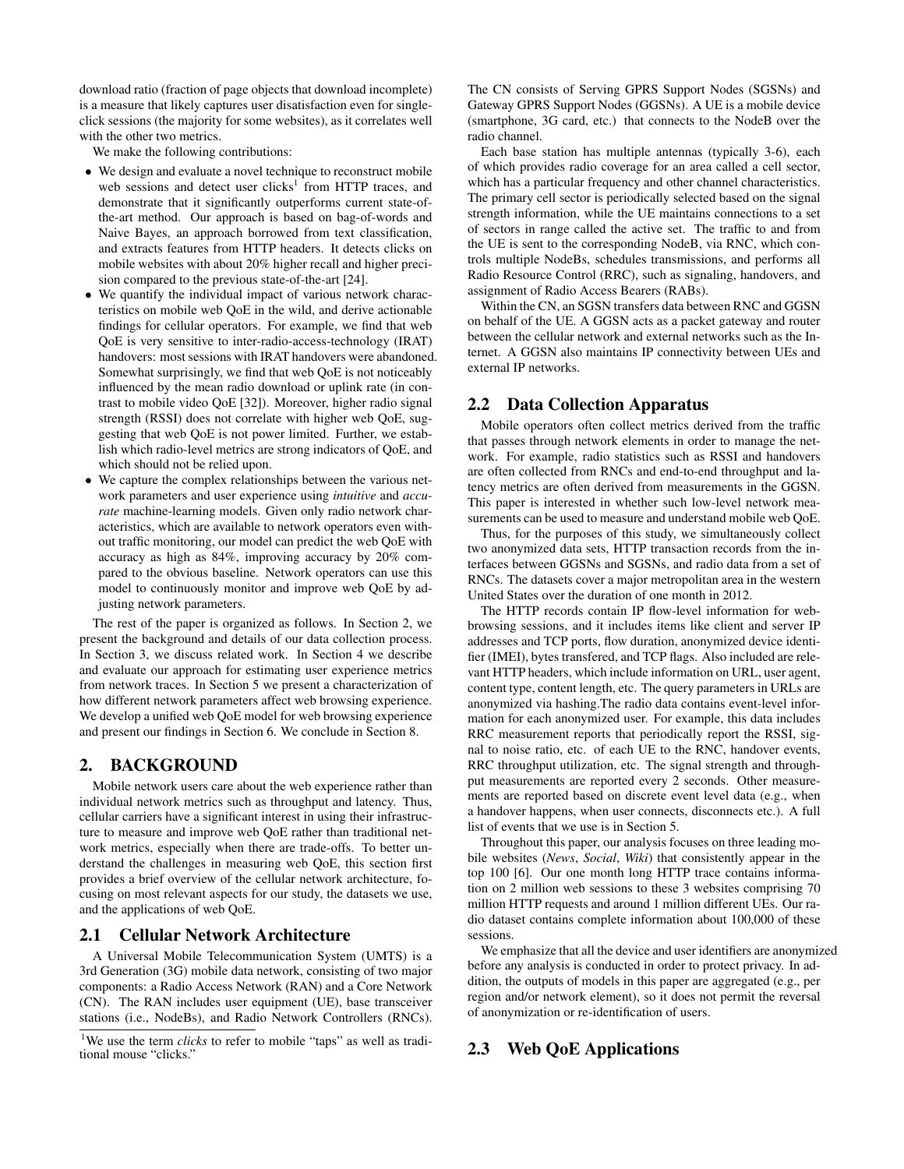download ratio (fraction of page objects that download incomplete) is a measure that likely captures user disatisfaction even for singleclick sessions (the majority for some websites), as it correlates well with the other two metrics.

We make the following contributions:

- We design and evaluate a novel technique to reconstruct mobile web sessions and detect user clicks<sup>1</sup> from HTTP traces, and demonstrate that it significantly outperforms current state-ofthe-art method. Our approach is based on bag-of-words and Naive Bayes, an approach borrowed from text classification, and extracts features from HTTP headers. It detects clicks on mobile websites with about 20% higher recall and higher precision compared to the previous state-of-the-art [24].
- We quantify the individual impact of various network characteristics on mobile web QoE in the wild, and derive actionable findings for cellular operators. For example, we find that web QoE is very sensitive to inter-radio-access-technology (IRAT) handovers: most sessions with IRAT handovers were abandoned. Somewhat surprisingly, we find that web QoE is not noticeably influenced by the mean radio download or uplink rate (in contrast to mobile video QoE [32]). Moreover, higher radio signal strength (RSSI) does not correlate with higher web QoE, suggesting that web QoE is not power limited. Further, we establish which radio-level metrics are strong indicators of QoE, and which should not be relied upon.
- We capture the complex relationships between the various network parameters and user experience using *intuitive* and *accurate* machine-learning models. Given only radio network characteristics, which are available to network operators even without traffic monitoring, our model can predict the web QoE with accuracy as high as 84%, improving accuracy by 20% compared to the obvious baseline. Network operators can use this model to continuously monitor and improve web QoE by adjusting network parameters.

The rest of the paper is organized as follows. In Section 2, we present the background and details of our data collection process. In Section 3, we discuss related work. In Section 4 we describe and evaluate our approach for estimating user experience metrics from network traces. In Section 5 we present a characterization of how different network parameters affect web browsing experience. We develop a unified web QoE model for web browsing experience and present our findings in Section 6. We conclude in Section 8.

#### 2. BACKGROUND

Mobile network users care about the web experience rather than individual network metrics such as throughput and latency. Thus, cellular carriers have a significant interest in using their infrastructure to measure and improve web QoE rather than traditional network metrics, especially when there are trade-offs. To better understand the challenges in measuring web QoE, this section first provides a brief overview of the cellular network architecture, focusing on most relevant aspects for our study, the datasets we use, and the applications of web QoE.

#### 2.1 Cellular Network Architecture

A Universal Mobile Telecommunication System (UMTS) is a 3rd Generation (3G) mobile data network, consisting of two major components: a Radio Access Network (RAN) and a Core Network (CN). The RAN includes user equipment (UE), base transceiver stations (i.e., NodeBs), and Radio Network Controllers (RNCs).

The CN consists of Serving GPRS Support Nodes (SGSNs) and Gateway GPRS Support Nodes (GGSNs). A UE is a mobile device (smartphone, 3G card, etc.) that connects to the NodeB over the radio channel.

Each base station has multiple antennas (typically 3-6), each of which provides radio coverage for an area called a cell sector, which has a particular frequency and other channel characteristics. The primary cell sector is periodically selected based on the signal strength information, while the UE maintains connections to a set of sectors in range called the active set. The traffic to and from the UE is sent to the corresponding NodeB, via RNC, which controls multiple NodeBs, schedules transmissions, and performs all Radio Resource Control (RRC), such as signaling, handovers, and assignment of Radio Access Bearers (RABs).

Within the CN, an SGSN transfers data between RNC and GGSN on behalf of the UE. A GGSN acts as a packet gateway and router between the cellular network and external networks such as the Internet. A GGSN also maintains IP connectivity between UEs and external IP networks.

#### 2.2 Data Collection Apparatus

Mobile operators often collect metrics derived from the traffic that passes through network elements in order to manage the network. For example, radio statistics such as RSSI and handovers are often collected from RNCs and end-to-end throughput and latency metrics are often derived from measurements in the GGSN. This paper is interested in whether such low-level network measurements can be used to measure and understand mobile web QoE.

Thus, for the purposes of this study, we simultaneously collect two anonymized data sets, HTTP transaction records from the interfaces between GGSNs and SGSNs, and radio data from a set of RNCs. The datasets cover a major metropolitan area in the western United States over the duration of one month in 2012.

The HTTP records contain IP flow-level information for webbrowsing sessions, and it includes items like client and server IP addresses and TCP ports, flow duration, anonymized device identifier (IMEI), bytes transfered, and TCP flags. Also included are relevant HTTP headers, which include information on URL, user agent, content type, content length, etc. The query parameters in URLs are anonymized via hashing.The radio data contains event-level information for each anonymized user. For example, this data includes RRC measurement reports that periodically report the RSSI, signal to noise ratio, etc. of each UE to the RNC, handover events, RRC throughput utilization, etc. The signal strength and throughput measurements are reported every 2 seconds. Other measurements are reported based on discrete event level data (e.g., when a handover happens, when user connects, disconnects etc.). A full list of events that we use is in Section 5.

Throughout this paper, our analysis focuses on three leading mobile websites (*News*, *Social*, *Wiki*) that consistently appear in the top 100 [6]. Our one month long HTTP trace contains information on 2 million web sessions to these 3 websites comprising 70 million HTTP requests and around 1 million different UEs. Our radio dataset contains complete information about 100,000 of these sessions.

We emphasize that all the device and user identifiers are anonymized before any analysis is conducted in order to protect privacy. In addition, the outputs of models in this paper are aggregated (e.g., per region and/or network element), so it does not permit the reversal of anonymization or re-identification of users.

#### 2.3 Web QoE Applications

<sup>&</sup>lt;sup>1</sup>We use the term *clicks* to refer to mobile "taps" as well as traditional mouse "clicks."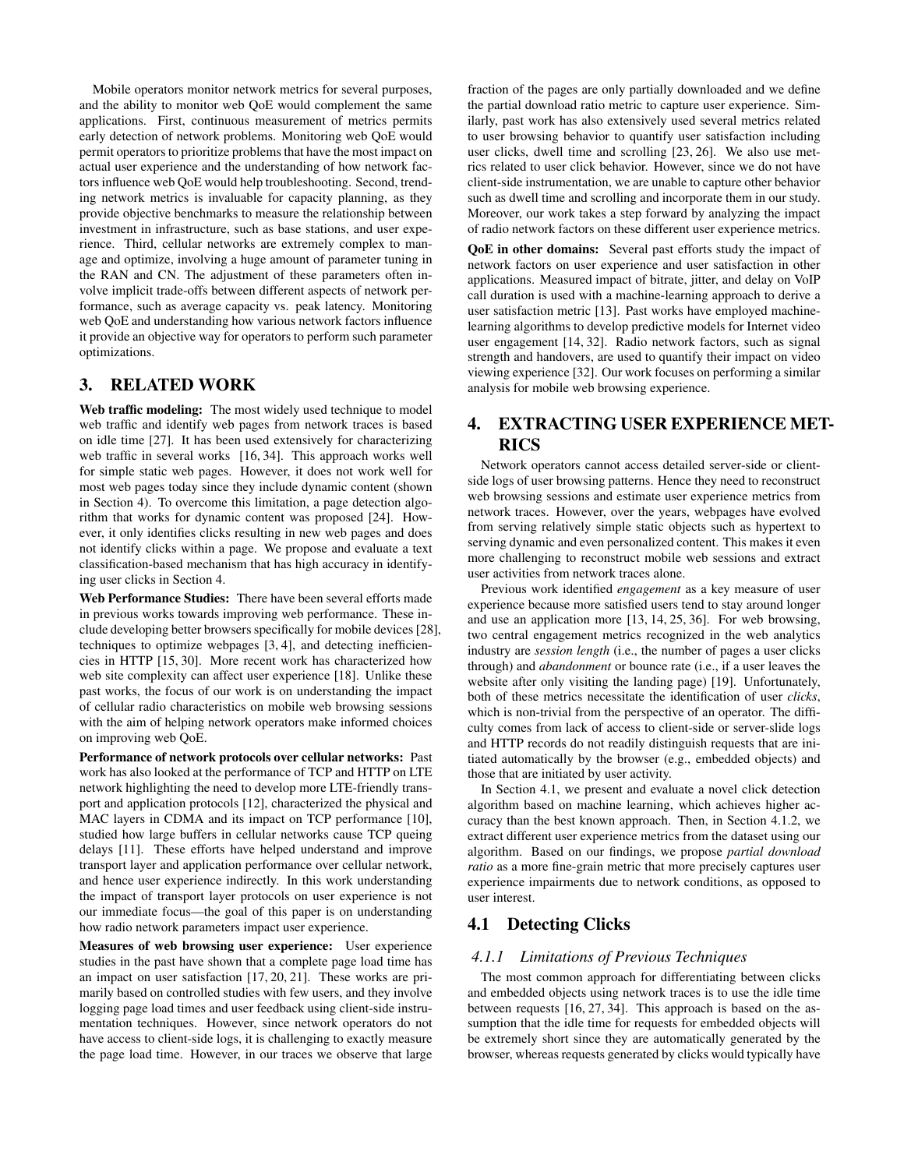Mobile operators monitor network metrics for several purposes, and the ability to monitor web QoE would complement the same applications. First, continuous measurement of metrics permits early detection of network problems. Monitoring web QoE would permit operators to prioritize problems that have the most impact on actual user experience and the understanding of how network factors influence web QoE would help troubleshooting. Second, trending network metrics is invaluable for capacity planning, as they provide objective benchmarks to measure the relationship between investment in infrastructure, such as base stations, and user experience. Third, cellular networks are extremely complex to manage and optimize, involving a huge amount of parameter tuning in the RAN and CN. The adjustment of these parameters often involve implicit trade-offs between different aspects of network performance, such as average capacity vs. peak latency. Monitoring web QoE and understanding how various network factors influence it provide an objective way for operators to perform such parameter optimizations.

## 3. RELATED WORK

Web traffic modeling: The most widely used technique to model web traffic and identify web pages from network traces is based on idle time [27]. It has been used extensively for characterizing web traffic in several works [16, 34]. This approach works well for simple static web pages. However, it does not work well for most web pages today since they include dynamic content (shown in Section 4). To overcome this limitation, a page detection algorithm that works for dynamic content was proposed [24]. However, it only identifies clicks resulting in new web pages and does not identify clicks within a page. We propose and evaluate a text classification-based mechanism that has high accuracy in identifying user clicks in Section 4.

Web Performance Studies: There have been several efforts made in previous works towards improving web performance. These include developing better browsers specifically for mobile devices [28], techniques to optimize webpages [3, 4], and detecting inefficiencies in HTTP [15, 30]. More recent work has characterized how web site complexity can affect user experience [18]. Unlike these past works, the focus of our work is on understanding the impact of cellular radio characteristics on mobile web browsing sessions with the aim of helping network operators make informed choices on improving web QoE.

Performance of network protocols over cellular networks: Past work has also looked at the performance of TCP and HTTP on LTE network highlighting the need to develop more LTE-friendly transport and application protocols [12], characterized the physical and MAC layers in CDMA and its impact on TCP performance [10], studied how large buffers in cellular networks cause TCP queing delays [11]. These efforts have helped understand and improve transport layer and application performance over cellular network, and hence user experience indirectly. In this work understanding the impact of transport layer protocols on user experience is not our immediate focus—the goal of this paper is on understanding how radio network parameters impact user experience.

Measures of web browsing user experience: User experience studies in the past have shown that a complete page load time has an impact on user satisfaction [17, 20, 21]. These works are primarily based on controlled studies with few users, and they involve logging page load times and user feedback using client-side instrumentation techniques. However, since network operators do not have access to client-side logs, it is challenging to exactly measure the page load time. However, in our traces we observe that large

fraction of the pages are only partially downloaded and we define the partial download ratio metric to capture user experience. Similarly, past work has also extensively used several metrics related to user browsing behavior to quantify user satisfaction including user clicks, dwell time and scrolling [23, 26]. We also use metrics related to user click behavior. However, since we do not have client-side instrumentation, we are unable to capture other behavior such as dwell time and scrolling and incorporate them in our study. Moreover, our work takes a step forward by analyzing the impact of radio network factors on these different user experience metrics.

QoE in other domains: Several past efforts study the impact of network factors on user experience and user satisfaction in other applications. Measured impact of bitrate, jitter, and delay on VoIP call duration is used with a machine-learning approach to derive a user satisfaction metric [13]. Past works have employed machinelearning algorithms to develop predictive models for Internet video user engagement [14, 32]. Radio network factors, such as signal strength and handovers, are used to quantify their impact on video viewing experience [32]. Our work focuses on performing a similar analysis for mobile web browsing experience.

# 4. EXTRACTING USER EXPERIENCE MET-RICS

Network operators cannot access detailed server-side or clientside logs of user browsing patterns. Hence they need to reconstruct web browsing sessions and estimate user experience metrics from network traces. However, over the years, webpages have evolved from serving relatively simple static objects such as hypertext to serving dynamic and even personalized content. This makes it even more challenging to reconstruct mobile web sessions and extract user activities from network traces alone.

Previous work identified *engagement* as a key measure of user experience because more satisfied users tend to stay around longer and use an application more [13, 14, 25, 36]. For web browsing, two central engagement metrics recognized in the web analytics industry are *session length* (i.e., the number of pages a user clicks through) and *abandonment* or bounce rate (i.e., if a user leaves the website after only visiting the landing page) [19]. Unfortunately, both of these metrics necessitate the identification of user *clicks*, which is non-trivial from the perspective of an operator. The difficulty comes from lack of access to client-side or server-slide logs and HTTP records do not readily distinguish requests that are initiated automatically by the browser (e.g., embedded objects) and those that are initiated by user activity.

In Section 4.1, we present and evaluate a novel click detection algorithm based on machine learning, which achieves higher accuracy than the best known approach. Then, in Section 4.1.2, we extract different user experience metrics from the dataset using our algorithm. Based on our findings, we propose *partial download ratio* as a more fine-grain metric that more precisely captures user experience impairments due to network conditions, as opposed to user interest.

# 4.1 Detecting Clicks

#### *4.1.1 Limitations of Previous Techniques*

The most common approach for differentiating between clicks and embedded objects using network traces is to use the idle time between requests [16, 27, 34]. This approach is based on the assumption that the idle time for requests for embedded objects will be extremely short since they are automatically generated by the browser, whereas requests generated by clicks would typically have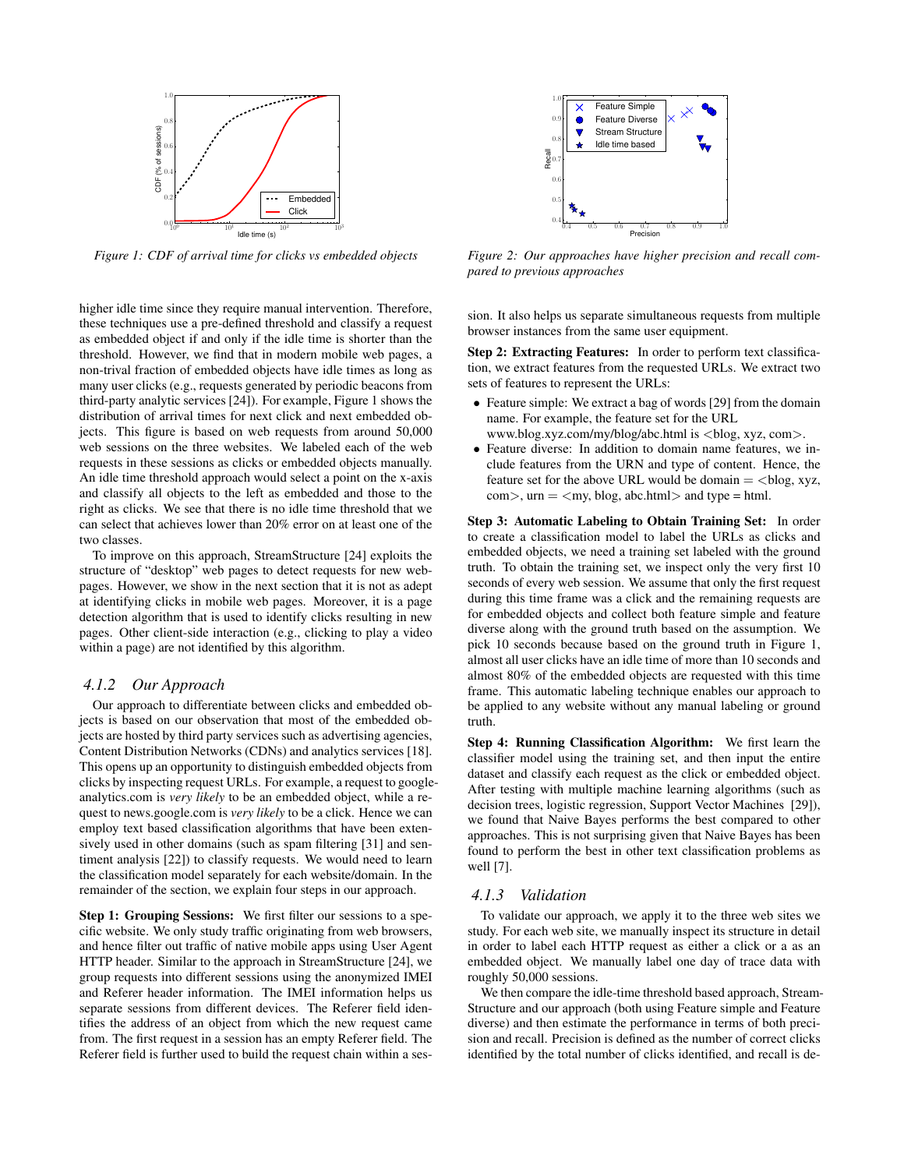

*Figure 1: CDF of arrival time for clicks vs embedded objects*

higher idle time since they require manual intervention. Therefore, these techniques use a pre-defined threshold and classify a request as embedded object if and only if the idle time is shorter than the threshold. However, we find that in modern mobile web pages, a non-trival fraction of embedded objects have idle times as long as many user clicks (e.g., requests generated by periodic beacons from third-party analytic services [24]). For example, Figure 1 shows the distribution of arrival times for next click and next embedded objects. This figure is based on web requests from around 50,000 web sessions on the three websites. We labeled each of the web requests in these sessions as clicks or embedded objects manually. An idle time threshold approach would select a point on the x-axis and classify all objects to the left as embedded and those to the right as clicks. We see that there is no idle time threshold that we can select that achieves lower than 20% error on at least one of the two classes.

To improve on this approach, StreamStructure [24] exploits the structure of "desktop" web pages to detect requests for new webpages. However, we show in the next section that it is not as adept at identifying clicks in mobile web pages. Moreover, it is a page detection algorithm that is used to identify clicks resulting in new pages. Other client-side interaction (e.g., clicking to play a video within a page) are not identified by this algorithm.

#### *4.1.2 Our Approach*

Our approach to differentiate between clicks and embedded objects is based on our observation that most of the embedded objects are hosted by third party services such as advertising agencies, Content Distribution Networks (CDNs) and analytics services [18]. This opens up an opportunity to distinguish embedded objects from clicks by inspecting request URLs. For example, a request to googleanalytics.com is *very likely* to be an embedded object, while a request to news.google.com is *very likely* to be a click. Hence we can employ text based classification algorithms that have been extensively used in other domains (such as spam filtering [31] and sentiment analysis [22]) to classify requests. We would need to learn the classification model separately for each website/domain. In the remainder of the section, we explain four steps in our approach.

Step 1: Grouping Sessions: We first filter our sessions to a specific website. We only study traffic originating from web browsers, and hence filter out traffic of native mobile apps using User Agent HTTP header. Similar to the approach in StreamStructure [24], we group requests into different sessions using the anonymized IMEI and Referer header information. The IMEI information helps us separate sessions from different devices. The Referer field identifies the address of an object from which the new request came from. The first request in a session has an empty Referer field. The Referer field is further used to build the request chain within a ses-



*Figure 2: Our approaches have higher precision and recall compared to previous approaches*

sion. It also helps us separate simultaneous requests from multiple browser instances from the same user equipment.

Step 2: Extracting Features: In order to perform text classification, we extract features from the requested URLs. We extract two sets of features to represent the URLs:

- Feature simple: We extract a bag of words [29] from the domain name. For example, the feature set for the URL www.blog.xyz.com/my/blog/abc.html is <blog, xyz, com>.
- Feature diverse: In addition to domain name features, we include features from the URN and type of content. Hence, the feature set for the above URL would be domain  $=$  <br/>blog, xyz,
	- $com$ ,  $urn = \langle my, blog, abc.html \rangle$  and type = html.

Step 3: Automatic Labeling to Obtain Training Set: In order to create a classification model to label the URLs as clicks and embedded objects, we need a training set labeled with the ground truth. To obtain the training set, we inspect only the very first 10 seconds of every web session. We assume that only the first request during this time frame was a click and the remaining requests are for embedded objects and collect both feature simple and feature diverse along with the ground truth based on the assumption. We pick 10 seconds because based on the ground truth in Figure 1, almost all user clicks have an idle time of more than 10 seconds and almost 80% of the embedded objects are requested with this time frame. This automatic labeling technique enables our approach to be applied to any website without any manual labeling or ground truth.

Step 4: Running Classification Algorithm: We first learn the classifier model using the training set, and then input the entire dataset and classify each request as the click or embedded object. After testing with multiple machine learning algorithms (such as decision trees, logistic regression, Support Vector Machines [29]), we found that Naive Bayes performs the best compared to other approaches. This is not surprising given that Naive Bayes has been found to perform the best in other text classification problems as well [7].

#### *4.1.3 Validation*

To validate our approach, we apply it to the three web sites we study. For each web site, we manually inspect its structure in detail in order to label each HTTP request as either a click or a as an embedded object. We manually label one day of trace data with roughly 50,000 sessions.

We then compare the idle-time threshold based approach, Stream-Structure and our approach (both using Feature simple and Feature diverse) and then estimate the performance in terms of both precision and recall. Precision is defined as the number of correct clicks identified by the total number of clicks identified, and recall is de-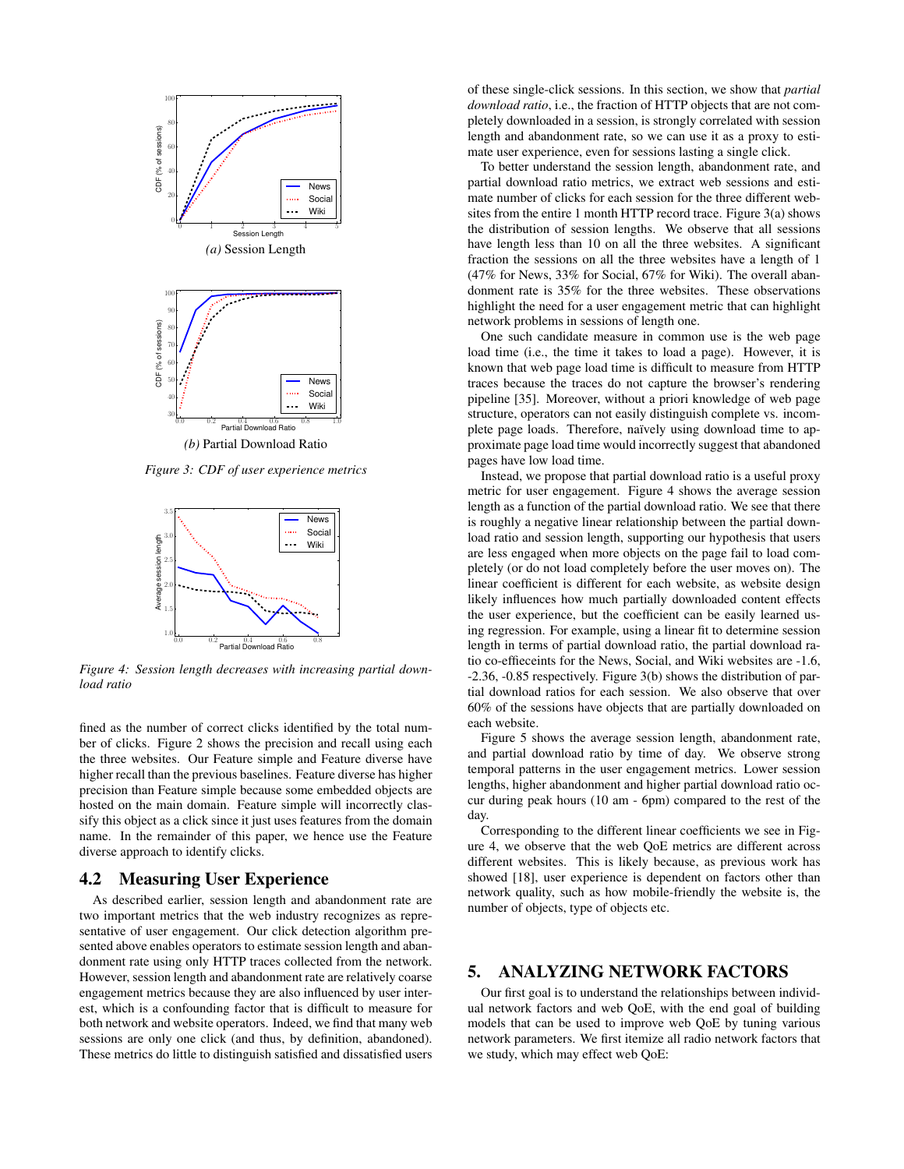

*Figure 3: CDF of user experience metrics*



*Figure 4: Session length decreases with increasing partial download ratio*

fined as the number of correct clicks identified by the total number of clicks. Figure 2 shows the precision and recall using each the three websites. Our Feature simple and Feature diverse have higher recall than the previous baselines. Feature diverse has higher precision than Feature simple because some embedded objects are hosted on the main domain. Feature simple will incorrectly classify this object as a click since it just uses features from the domain name. In the remainder of this paper, we hence use the Feature diverse approach to identify clicks.

#### 4.2 Measuring User Experience

As described earlier, session length and abandonment rate are two important metrics that the web industry recognizes as representative of user engagement. Our click detection algorithm presented above enables operators to estimate session length and abandonment rate using only HTTP traces collected from the network. However, session length and abandonment rate are relatively coarse engagement metrics because they are also influenced by user interest, which is a confounding factor that is difficult to measure for both network and website operators. Indeed, we find that many web sessions are only one click (and thus, by definition, abandoned). These metrics do little to distinguish satisfied and dissatisfied users

of these single-click sessions. In this section, we show that *partial download ratio*, i.e., the fraction of HTTP objects that are not completely downloaded in a session, is strongly correlated with session length and abandonment rate, so we can use it as a proxy to estimate user experience, even for sessions lasting a single click.

To better understand the session length, abandonment rate, and partial download ratio metrics, we extract web sessions and estimate number of clicks for each session for the three different websites from the entire 1 month HTTP record trace. Figure 3(a) shows the distribution of session lengths. We observe that all sessions have length less than 10 on all the three websites. A significant fraction the sessions on all the three websites have a length of 1 (47% for News, 33% for Social, 67% for Wiki). The overall abandonment rate is 35% for the three websites. These observations highlight the need for a user engagement metric that can highlight network problems in sessions of length one.

One such candidate measure in common use is the web page load time (i.e., the time it takes to load a page). However, it is known that web page load time is difficult to measure from HTTP traces because the traces do not capture the browser's rendering pipeline [35]. Moreover, without a priori knowledge of web page structure, operators can not easily distinguish complete vs. incomplete page loads. Therefore, naïvely using download time to approximate page load time would incorrectly suggest that abandoned pages have low load time.

Instead, we propose that partial download ratio is a useful proxy metric for user engagement. Figure 4 shows the average session length as a function of the partial download ratio. We see that there is roughly a negative linear relationship between the partial download ratio and session length, supporting our hypothesis that users are less engaged when more objects on the page fail to load completely (or do not load completely before the user moves on). The linear coefficient is different for each website, as website design likely influences how much partially downloaded content effects the user experience, but the coefficient can be easily learned using regression. For example, using a linear fit to determine session length in terms of partial download ratio, the partial download ratio co-effieceints for the News, Social, and Wiki websites are -1.6, -2.36, -0.85 respectively. Figure 3(b) shows the distribution of partial download ratios for each session. We also observe that over 60% of the sessions have objects that are partially downloaded on each website.

Figure 5 shows the average session length, abandonment rate, and partial download ratio by time of day. We observe strong temporal patterns in the user engagement metrics. Lower session lengths, higher abandonment and higher partial download ratio occur during peak hours (10 am - 6pm) compared to the rest of the day.

Corresponding to the different linear coefficients we see in Figure 4, we observe that the web QoE metrics are different across different websites. This is likely because, as previous work has showed [18], user experience is dependent on factors other than network quality, such as how mobile-friendly the website is, the number of objects, type of objects etc.

# 5. ANALYZING NETWORK FACTORS

Our first goal is to understand the relationships between individual network factors and web QoE, with the end goal of building models that can be used to improve web QoE by tuning various network parameters. We first itemize all radio network factors that we study, which may effect web QoE: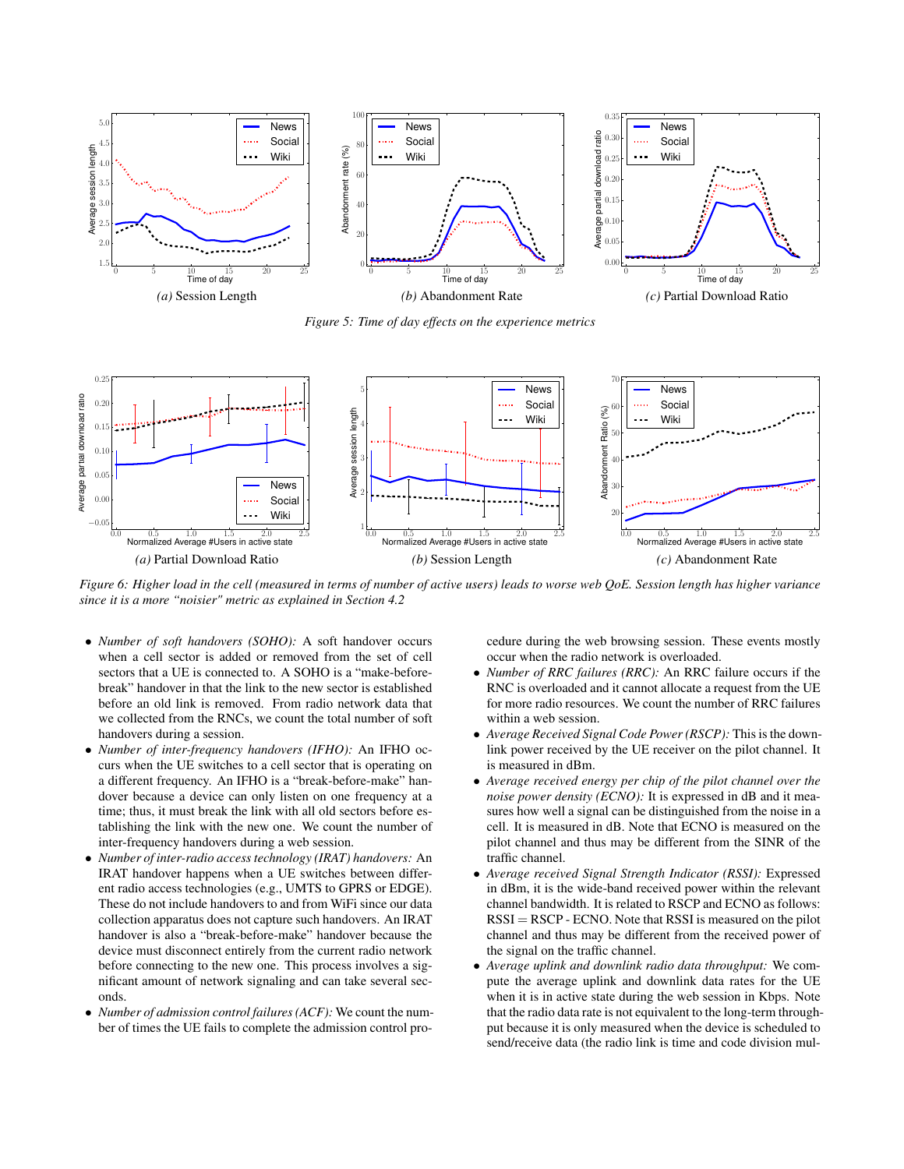

*Figure 5: Time of day effects on the experience metrics*



*Figure 6: Higher load in the cell (measured in terms of number of active users) leads to worse web QoE. Session length has higher variance since it is a more "noisier" metric as explained in Section 4.2*

- *Number of soft handovers (SOHO):* A soft handover occurs when a cell sector is added or removed from the set of cell sectors that a UE is connected to. A SOHO is a "make-beforebreak" handover in that the link to the new sector is established before an old link is removed. From radio network data that we collected from the RNCs, we count the total number of soft handovers during a session.
- *Number of inter-frequency handovers (IFHO):* An IFHO occurs when the UE switches to a cell sector that is operating on a different frequency. An IFHO is a "break-before-make" handover because a device can only listen on one frequency at a time; thus, it must break the link with all old sectors before establishing the link with the new one. We count the number of inter-frequency handovers during a web session.
- *Number of inter-radio access technology (IRAT) handovers:* An IRAT handover happens when a UE switches between different radio access technologies (e.g., UMTS to GPRS or EDGE). These do not include handovers to and from WiFi since our data collection apparatus does not capture such handovers. An IRAT handover is also a "break-before-make" handover because the device must disconnect entirely from the current radio network before connecting to the new one. This process involves a significant amount of network signaling and can take several seconds.
- *Number of admission control failures (ACF):* We count the number of times the UE fails to complete the admission control pro-

cedure during the web browsing session. These events mostly occur when the radio network is overloaded.

- *Number of RRC failures (RRC):* An RRC failure occurs if the RNC is overloaded and it cannot allocate a request from the UE for more radio resources. We count the number of RRC failures within a web session.
- *Average Received Signal Code Power (RSCP):* This is the downlink power received by the UE receiver on the pilot channel. It is measured in dBm.
- *Average received energy per chip of the pilot channel over the noise power density (ECNO):* It is expressed in dB and it measures how well a signal can be distinguished from the noise in a cell. It is measured in dB. Note that ECNO is measured on the pilot channel and thus may be different from the SINR of the traffic channel.
- *Average received Signal Strength Indicator (RSSI):* Expressed in dBm, it is the wide-band received power within the relevant channel bandwidth. It is related to RSCP and ECNO as follows: RSSI = RSCP - ECNO. Note that RSSI is measured on the pilot channel and thus may be different from the received power of the signal on the traffic channel.
- *Average uplink and downlink radio data throughput:* We compute the average uplink and downlink data rates for the UE when it is in active state during the web session in Kbps. Note that the radio data rate is not equivalent to the long-term throughput because it is only measured when the device is scheduled to send/receive data (the radio link is time and code division mul-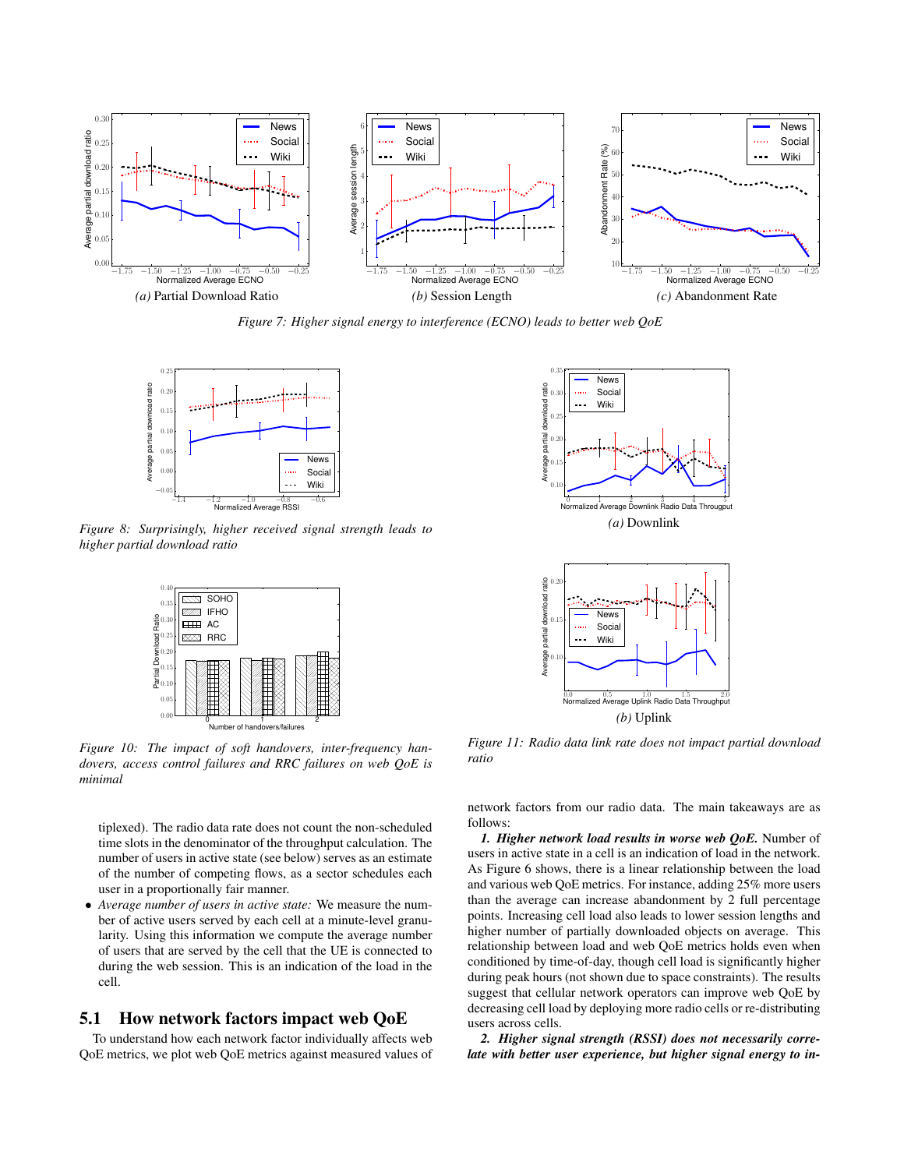

*Figure 7: Higher signal energy to interference (ECNO) leads to better web QoE*



*Figure 8: Surprisingly, higher received signal strength leads to higher partial download ratio*



0 1 2 Number of handovers/failures

*Figure 10: The impact of soft handovers, inter-frequency handovers, access control failures and RRC failures on web QoE is minimal*

tiplexed). The radio data rate does not count the non-scheduled time slots in the denominator of the throughput calculation. The number of users in active state (see below) serves as an estimate of the number of competing flows, as a sector schedules each user in a proportionally fair manner.

• *Average number of users in active state:* We measure the number of active users served by each cell at a minute-level granularity. Using this information we compute the average number of users that are served by the cell that the UE is connected to during the web session. This is an indication of the load in the cell.

## 5.1 How network factors impact web QoE

To understand how each network factor individually affects web QoE metrics, we plot web QoE metrics against measured values of





*Figure 11: Radio data link rate does not impact partial download ratio*

network factors from our radio data. The main takeaways are as follows:

*1. Higher network load results in worse web QoE.* Number of users in active state in a cell is an indication of load in the network. As Figure 6 shows, there is a linear relationship between the load and various web QoE metrics. For instance, adding 25% more users than the average can increase abandonment by 2 full percentage points. Increasing cell load also leads to lower session lengths and higher number of partially downloaded objects on average. This relationship between load and web QoE metrics holds even when conditioned by time-of-day, though cell load is significantly higher during peak hours (not shown due to space constraints). The results suggest that cellular network operators can improve web QoE by decreasing cell load by deploying more radio cells or re-distributing users across cells.

*2. Higher signal strength (RSSI) does not necessarily correlate with better user experience, but higher signal energy to in-*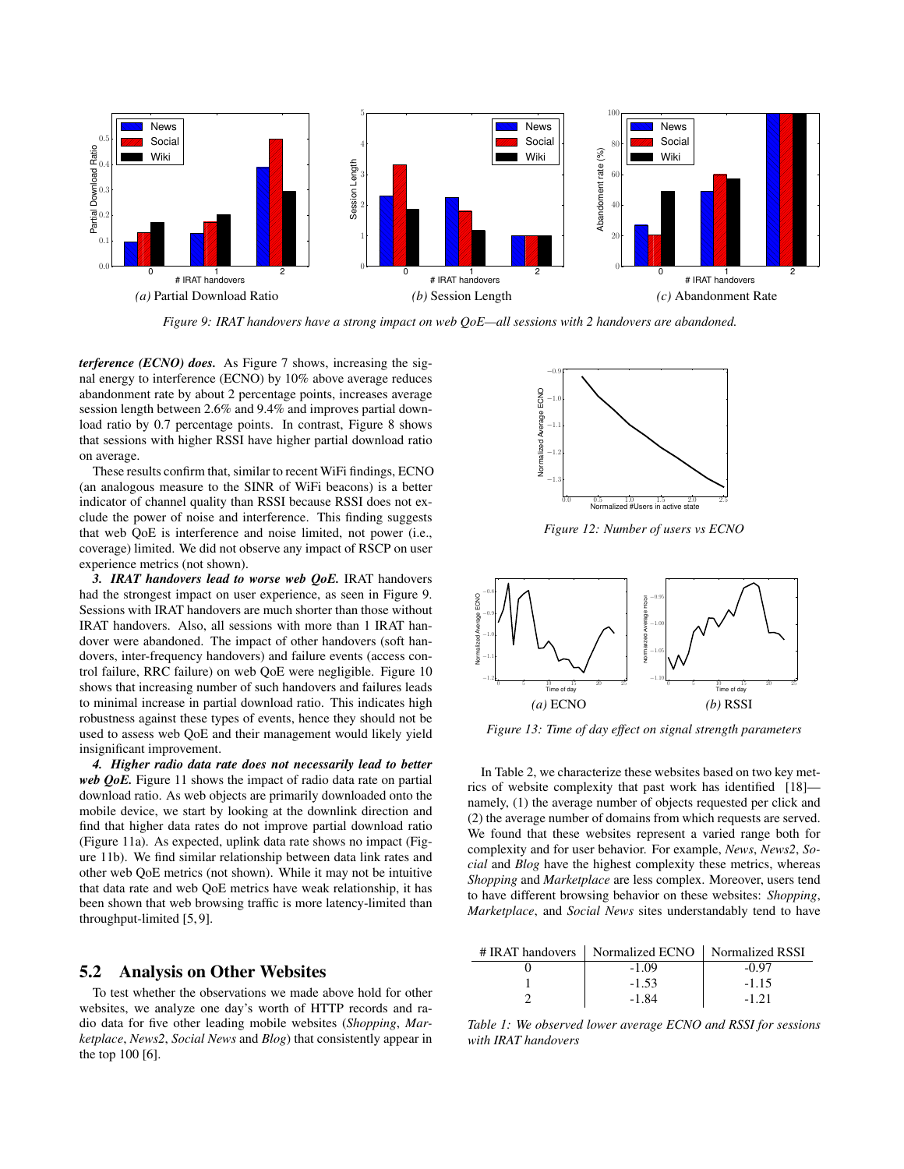

*Figure 9: IRAT handovers have a strong impact on web QoE—all sessions with 2 handovers are abandoned.*

*terference (ECNO) does.* As Figure 7 shows, increasing the signal energy to interference (ECNO) by 10% above average reduces abandonment rate by about 2 percentage points, increases average session length between 2.6% and 9.4% and improves partial download ratio by 0.7 percentage points. In contrast, Figure 8 shows that sessions with higher RSSI have higher partial download ratio on average.

These results confirm that, similar to recent WiFi findings, ECNO (an analogous measure to the SINR of WiFi beacons) is a better indicator of channel quality than RSSI because RSSI does not exclude the power of noise and interference. This finding suggests that web QoE is interference and noise limited, not power (i.e., coverage) limited. We did not observe any impact of RSCP on user experience metrics (not shown).

*3. IRAT handovers lead to worse web QoE.* IRAT handovers had the strongest impact on user experience, as seen in Figure 9. Sessions with IRAT handovers are much shorter than those without IRAT handovers. Also, all sessions with more than 1 IRAT handover were abandoned. The impact of other handovers (soft handovers, inter-frequency handovers) and failure events (access control failure, RRC failure) on web QoE were negligible. Figure 10 shows that increasing number of such handovers and failures leads to minimal increase in partial download ratio. This indicates high robustness against these types of events, hence they should not be used to assess web QoE and their management would likely yield insignificant improvement.

*4. Higher radio data rate does not necessarily lead to better web QoE.* Figure 11 shows the impact of radio data rate on partial download ratio. As web objects are primarily downloaded onto the mobile device, we start by looking at the downlink direction and find that higher data rates do not improve partial download ratio (Figure 11a). As expected, uplink data rate shows no impact (Figure 11b). We find similar relationship between data link rates and other web QoE metrics (not shown). While it may not be intuitive that data rate and web QoE metrics have weak relationship, it has been shown that web browsing traffic is more latency-limited than throughput-limited [5, 9].

#### 5.2 Analysis on Other Websites

To test whether the observations we made above hold for other websites, we analyze one day's worth of HTTP records and radio data for five other leading mobile websites (*Shopping*, *Marketplace*, *News2*, *Social News* and *Blog*) that consistently appear in the top 100 [6].



*Figure 12: Number of users vs ECNO*



*Figure 13: Time of day effect on signal strength parameters*

In Table 2, we characterize these websites based on two key metrics of website complexity that past work has identified [18] namely, (1) the average number of objects requested per click and (2) the average number of domains from which requests are served. We found that these websites represent a varied range both for complexity and for user behavior. For example, *News*, *News2*, *Social* and *Blog* have the highest complexity these metrics, whereas *Shopping* and *Marketplace* are less complex. Moreover, users tend to have different browsing behavior on these websites: *Shopping*, *Marketplace*, and *Social News* sites understandably tend to have

| # IRAT handovers   Normalized ECNO   Normalized RSSI |          |
|------------------------------------------------------|----------|
| $-1.09$                                              | -0.97    |
| $-1.53$                                              | $-1.15$  |
| -1.84                                                | $-1, 21$ |

*Table 1: We observed lower average ECNO and RSSI for sessions with IRAT handovers*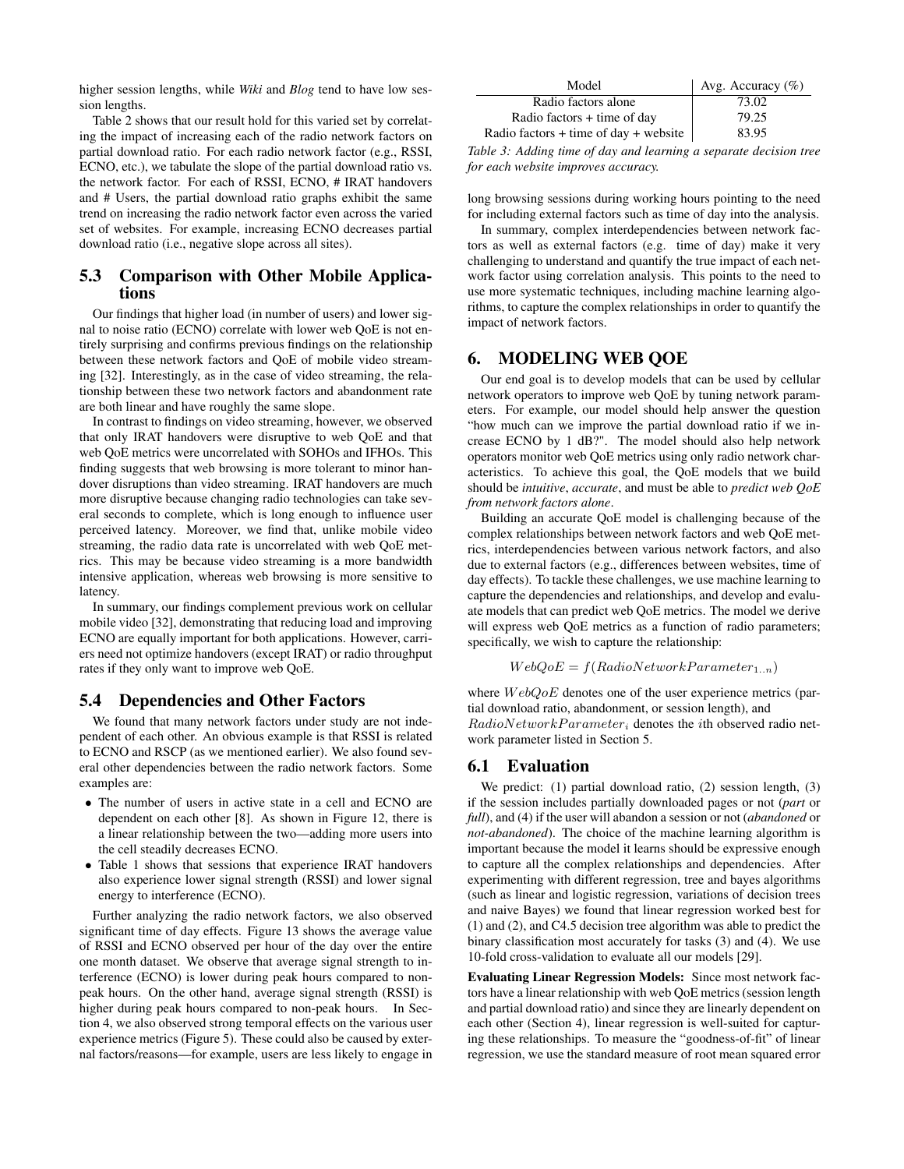higher session lengths, while *Wiki* and *Blog* tend to have low session lengths.

Table 2 shows that our result hold for this varied set by correlating the impact of increasing each of the radio network factors on partial download ratio. For each radio network factor (e.g., RSSI, ECNO, etc.), we tabulate the slope of the partial download ratio vs. the network factor. For each of RSSI, ECNO, # IRAT handovers and # Users, the partial download ratio graphs exhibit the same trend on increasing the radio network factor even across the varied set of websites. For example, increasing ECNO decreases partial download ratio (i.e., negative slope across all sites).

### 5.3 Comparison with Other Mobile Applications

Our findings that higher load (in number of users) and lower signal to noise ratio (ECNO) correlate with lower web QoE is not entirely surprising and confirms previous findings on the relationship between these network factors and QoE of mobile video streaming [32]. Interestingly, as in the case of video streaming, the relationship between these two network factors and abandonment rate are both linear and have roughly the same slope.

In contrast to findings on video streaming, however, we observed that only IRAT handovers were disruptive to web QoE and that web QoE metrics were uncorrelated with SOHOs and IFHOs. This finding suggests that web browsing is more tolerant to minor handover disruptions than video streaming. IRAT handovers are much more disruptive because changing radio technologies can take several seconds to complete, which is long enough to influence user perceived latency. Moreover, we find that, unlike mobile video streaming, the radio data rate is uncorrelated with web QoE metrics. This may be because video streaming is a more bandwidth intensive application, whereas web browsing is more sensitive to latency.

In summary, our findings complement previous work on cellular mobile video [32], demonstrating that reducing load and improving ECNO are equally important for both applications. However, carriers need not optimize handovers (except IRAT) or radio throughput rates if they only want to improve web QoE.

#### 5.4 Dependencies and Other Factors

We found that many network factors under study are not independent of each other. An obvious example is that RSSI is related to ECNO and RSCP (as we mentioned earlier). We also found several other dependencies between the radio network factors. Some examples are:

- The number of users in active state in a cell and ECNO are dependent on each other [8]. As shown in Figure 12, there is a linear relationship between the two—adding more users into the cell steadily decreases ECNO.
- Table 1 shows that sessions that experience IRAT handovers also experience lower signal strength (RSSI) and lower signal energy to interference (ECNO).

Further analyzing the radio network factors, we also observed significant time of day effects. Figure 13 shows the average value of RSSI and ECNO observed per hour of the day over the entire one month dataset. We observe that average signal strength to interference (ECNO) is lower during peak hours compared to nonpeak hours. On the other hand, average signal strength (RSSI) is higher during peak hours compared to non-peak hours. In Section 4, we also observed strong temporal effects on the various user experience metrics (Figure 5). These could also be caused by external factors/reasons—for example, users are less likely to engage in

| Model                                     | Avg. Accuracy $(\%)$ |
|-------------------------------------------|----------------------|
| Radio factors alone                       | 73.02                |
| Radio factors + time of day               | 79.25                |
| Radio factors $+$ time of day $+$ website | 83.95                |

*Table 3: Adding time of day and learning a separate decision tree for each website improves accuracy.*

long browsing sessions during working hours pointing to the need for including external factors such as time of day into the analysis.

In summary, complex interdependencies between network factors as well as external factors (e.g. time of day) make it very challenging to understand and quantify the true impact of each network factor using correlation analysis. This points to the need to use more systematic techniques, including machine learning algorithms, to capture the complex relationships in order to quantify the impact of network factors.

#### 6. MODELING WEB QOE

Our end goal is to develop models that can be used by cellular network operators to improve web QoE by tuning network parameters. For example, our model should help answer the question "how much can we improve the partial download ratio if we increase ECNO by 1 dB?". The model should also help network operators monitor web QoE metrics using only radio network characteristics. To achieve this goal, the QoE models that we build should be *intuitive*, *accurate*, and must be able to *predict web QoE from network factors alone*.

Building an accurate QoE model is challenging because of the complex relationships between network factors and web QoE metrics, interdependencies between various network factors, and also due to external factors (e.g., differences between websites, time of day effects). To tackle these challenges, we use machine learning to capture the dependencies and relationships, and develop and evaluate models that can predict web QoE metrics. The model we derive will express web QoE metrics as a function of radio parameters; specifically, we wish to capture the relationship:

$$
WebQoE = f(RadioNetworkParameter_{1..n})
$$

where  $WebQoE$  denotes one of the user experience metrics (partial download ratio, abandonment, or session length), and  $RadioNetwork Parameter_i$  denotes the *i*th observed radio network parameter listed in Section 5.

#### 6.1 Evaluation

We predict: (1) partial download ratio, (2) session length, (3) if the session includes partially downloaded pages or not (*part* or *full*), and (4) if the user will abandon a session or not (*abandoned* or *not-abandoned*). The choice of the machine learning algorithm is important because the model it learns should be expressive enough to capture all the complex relationships and dependencies. After experimenting with different regression, tree and bayes algorithms (such as linear and logistic regression, variations of decision trees and naive Bayes) we found that linear regression worked best for (1) and (2), and C4.5 decision tree algorithm was able to predict the binary classification most accurately for tasks (3) and (4). We use 10-fold cross-validation to evaluate all our models [29].

Evaluating Linear Regression Models: Since most network factors have a linear relationship with web QoE metrics (session length and partial download ratio) and since they are linearly dependent on each other (Section 4), linear regression is well-suited for capturing these relationships. To measure the "goodness-of-fit" of linear regression, we use the standard measure of root mean squared error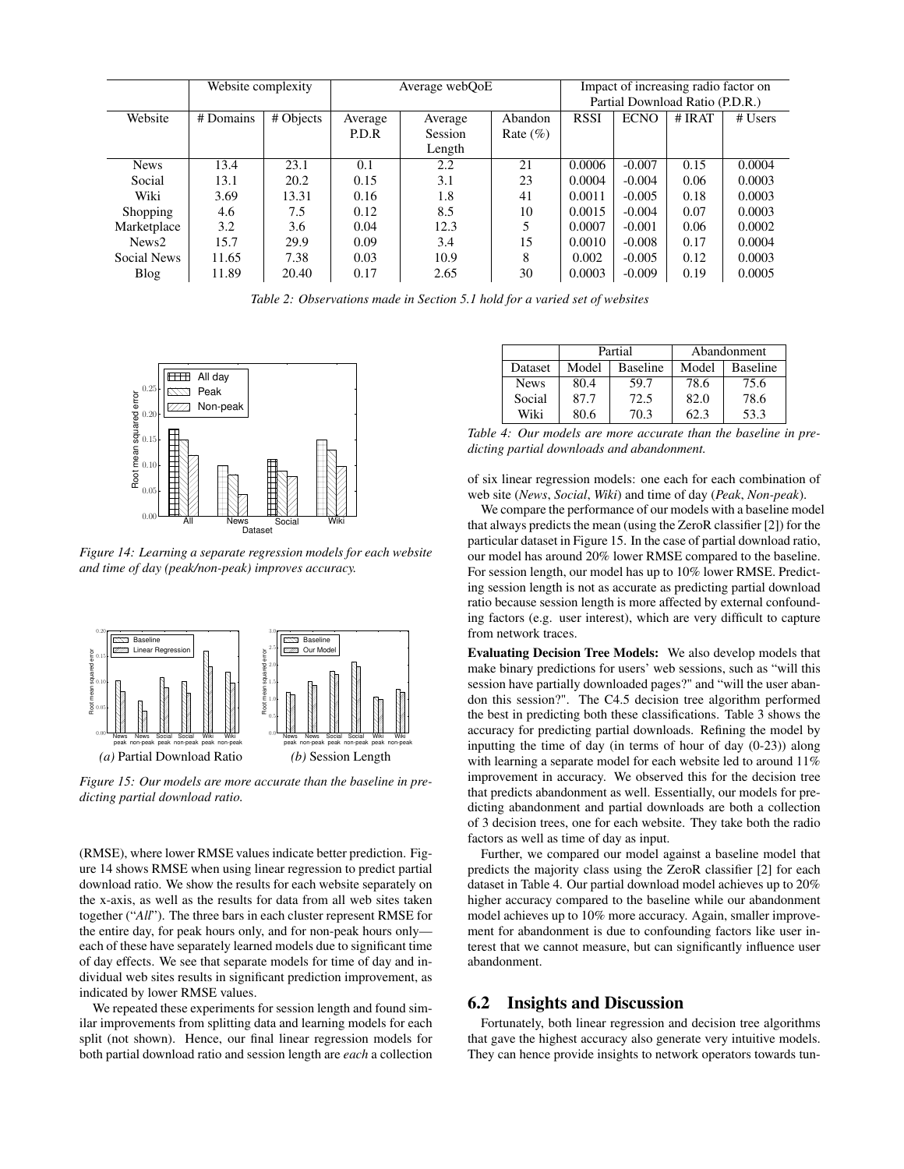|                   | Website complexity |           | Average webQoE |         |              | Impact of increasing radio factor on |             |          |         |
|-------------------|--------------------|-----------|----------------|---------|--------------|--------------------------------------|-------------|----------|---------|
|                   |                    |           |                |         |              | Partial Download Ratio (P.D.R.)      |             |          |         |
| Website           | # Domains          | # Objects | Average        | Average | Abandon      | <b>RSSI</b>                          | <b>ECNO</b> | $#$ IRAT | # Users |
|                   |                    |           | P.D.R          | Session | Rate $(\% )$ |                                      |             |          |         |
|                   |                    |           |                | Length  |              |                                      |             |          |         |
| <b>News</b>       | 13.4               | 23.1      | 0.1            | 2.2     | 21           | 0.0006                               | $-0.007$    | 0.15     | 0.0004  |
| Social            | 13.1               | 20.2      | 0.15           | 3.1     | 23           | 0.0004                               | $-0.004$    | 0.06     | 0.0003  |
| Wiki              | 3.69               | 13.31     | 0.16           | 1.8     | 41           | 0.0011                               | $-0.005$    | 0.18     | 0.0003  |
| <b>Shopping</b>   | 4.6                | 7.5       | 0.12           | 8.5     | 10           | 0.0015                               | $-0.004$    | 0.07     | 0.0003  |
| Marketplace       | 3.2                | 3.6       | 0.04           | 12.3    | 5            | 0.0007                               | $-0.001$    | 0.06     | 0.0002  |
| News <sub>2</sub> | 15.7               | 29.9      | 0.09           | 3.4     | 15           | 0.0010                               | $-0.008$    | 0.17     | 0.0004  |
| Social News       | 11.65              | 7.38      | 0.03           | 10.9    | 8            | 0.002                                | $-0.005$    | 0.12     | 0.0003  |
| Blog              | 11.89              | 20.40     | 0.17           | 2.65    | 30           | 0.0003                               | $-0.009$    | 0.19     | 0.0005  |

*Table 2: Observations made in Section 5.1 hold for a varied set of websites*



*Figure 14: Learning a separate regression models for each website and time of day (peak/non-peak) improves accuracy.*



*Figure 15: Our models are more accurate than the baseline in predicting partial download ratio.*

(RMSE), where lower RMSE values indicate better prediction. Figure 14 shows RMSE when using linear regression to predict partial download ratio. We show the results for each website separately on the x-axis, as well as the results for data from all web sites taken together ("*All*"). The three bars in each cluster represent RMSE for the entire day, for peak hours only, and for non-peak hours only each of these have separately learned models due to significant time of day effects. We see that separate models for time of day and individual web sites results in significant prediction improvement, as indicated by lower RMSE values.

We repeated these experiments for session length and found similar improvements from splitting data and learning models for each split (not shown). Hence, our final linear regression models for both partial download ratio and session length are *each* a collection

|             |       | Partial         | Abandonment |                 |  |
|-------------|-------|-----------------|-------------|-----------------|--|
| Dataset     | Model | <b>Baseline</b> | Model       | <b>Baseline</b> |  |
| <b>News</b> | 80.4  | 59.7            | 78.6        | 75.6            |  |
| Social      | 87.7  | 72.5            | 82.0        | 78.6            |  |
| Wiki        | 80.6  | 70.3            | 62.3        | 53.3            |  |

*Table 4: Our models are more accurate than the baseline in predicting partial downloads and abandonment.*

of six linear regression models: one each for each combination of web site (*News*, *Social*, *Wiki*) and time of day (*Peak*, *Non-peak*).

We compare the performance of our models with a baseline model that always predicts the mean (using the ZeroR classifier [2]) for the particular dataset in Figure 15. In the case of partial download ratio, our model has around 20% lower RMSE compared to the baseline. For session length, our model has up to 10% lower RMSE. Predicting session length is not as accurate as predicting partial download ratio because session length is more affected by external confounding factors (e.g. user interest), which are very difficult to capture from network traces.

Evaluating Decision Tree Models: We also develop models that make binary predictions for users' web sessions, such as "will this session have partially downloaded pages?" and "will the user abandon this session?". The C4.5 decision tree algorithm performed the best in predicting both these classifications. Table 3 shows the accuracy for predicting partial downloads. Refining the model by inputting the time of day (in terms of hour of day (0-23)) along with learning a separate model for each website led to around 11% improvement in accuracy. We observed this for the decision tree that predicts abandonment as well. Essentially, our models for predicting abandonment and partial downloads are both a collection of 3 decision trees, one for each website. They take both the radio factors as well as time of day as input.

Further, we compared our model against a baseline model that predicts the majority class using the ZeroR classifier [2] for each dataset in Table 4. Our partial download model achieves up to 20% higher accuracy compared to the baseline while our abandonment model achieves up to 10% more accuracy. Again, smaller improvement for abandonment is due to confounding factors like user interest that we cannot measure, but can significantly influence user abandonment.

#### 6.2 Insights and Discussion

Fortunately, both linear regression and decision tree algorithms that gave the highest accuracy also generate very intuitive models. They can hence provide insights to network operators towards tun-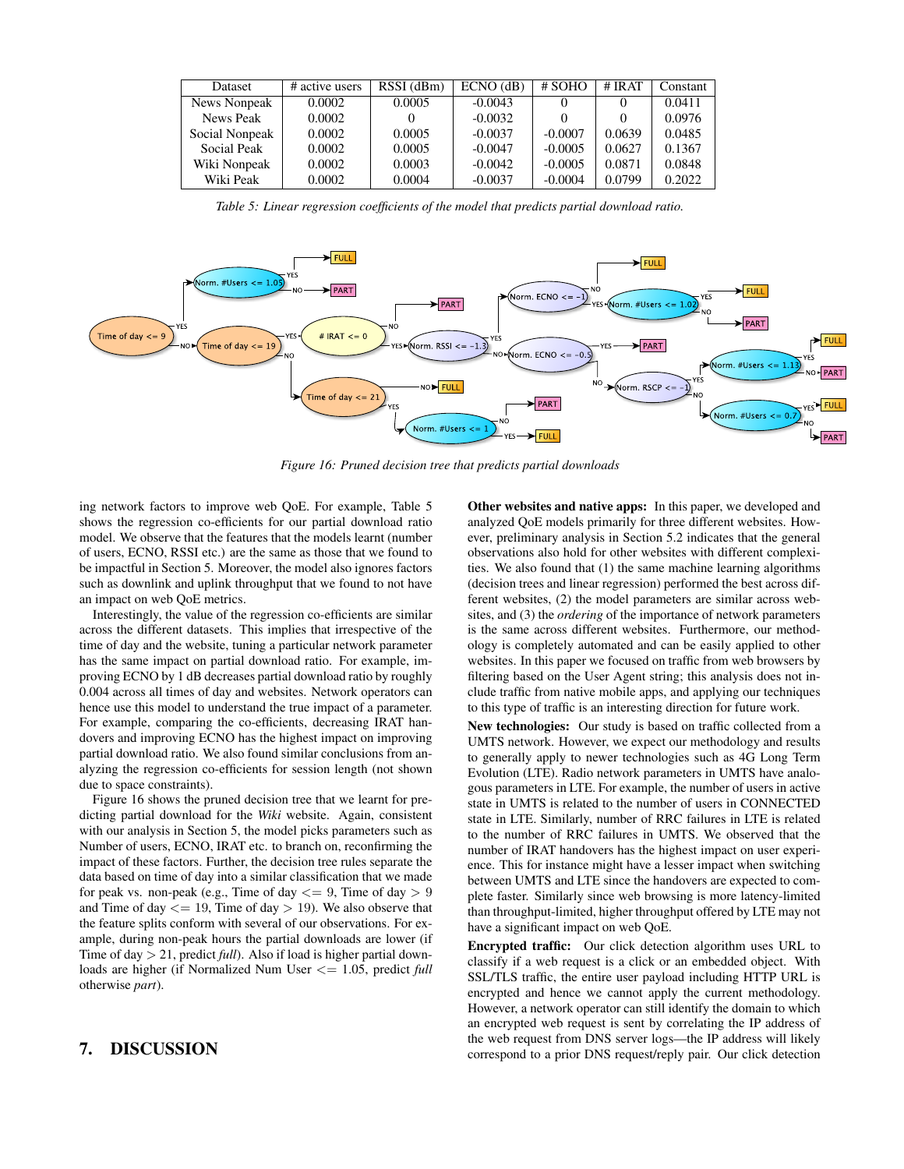| Dataset             | # active users | RSSI (dBm) | $ECNO$ (dB) | # SOHO    | $#$ IRAT | Constant |
|---------------------|----------------|------------|-------------|-----------|----------|----------|
| <b>News Nonpeak</b> | 0.0002         | 0.0005     | $-0.0043$   |           | $\theta$ | 0.0411   |
| News Peak           | 0.0002         |            | $-0.0032$   |           | 0        | 0.0976   |
| Social Nonpeak      | 0.0002         | 0.0005     | $-0.0037$   | $-0.0007$ | 0.0639   | 0.0485   |
| Social Peak         | 0.0002         | 0.0005     | $-0.0047$   | $-0.0005$ | 0.0627   | 0.1367   |
| Wiki Nonpeak        | 0.0002         | 0.0003     | $-0.0042$   | $-0.0005$ | 0.0871   | 0.0848   |
| Wiki Peak           | 0.0002         | 0.0004     | $-0.0037$   | $-0.0004$ | 0.0799   | 0.2022   |

*Table 5: Linear regression coefficients of the model that predicts partial download ratio.*



*Figure 16: Pruned decision tree that predicts partial downloads*

ing network factors to improve web QoE. For example, Table 5 shows the regression co-efficients for our partial download ratio model. We observe that the features that the models learnt (number of users, ECNO, RSSI etc.) are the same as those that we found to be impactful in Section 5. Moreover, the model also ignores factors such as downlink and uplink throughput that we found to not have an impact on web QoE metrics.

Interestingly, the value of the regression co-efficients are similar across the different datasets. This implies that irrespective of the time of day and the website, tuning a particular network parameter has the same impact on partial download ratio. For example, improving ECNO by 1 dB decreases partial download ratio by roughly 0.004 across all times of day and websites. Network operators can hence use this model to understand the true impact of a parameter. For example, comparing the co-efficients, decreasing IRAT handovers and improving ECNO has the highest impact on improving partial download ratio. We also found similar conclusions from analyzing the regression co-efficients for session length (not shown due to space constraints).

Figure 16 shows the pruned decision tree that we learnt for predicting partial download for the *Wiki* website. Again, consistent with our analysis in Section 5, the model picks parameters such as Number of users, ECNO, IRAT etc. to branch on, reconfirming the impact of these factors. Further, the decision tree rules separate the data based on time of day into a similar classification that we made for peak vs. non-peak (e.g., Time of day  $\leq$  9, Time of day  $> 9$ and Time of day  $\leq$  = 19, Time of day  $>$  19). We also observe that the feature splits conform with several of our observations. For example, during non-peak hours the partial downloads are lower (if Time of day > 21, predict *full*). Also if load is higher partial downloads are higher (if Normalized Num User <= 1.05, predict *full* otherwise *part*).

## 7. DISCUSSION

Other websites and native apps: In this paper, we developed and analyzed QoE models primarily for three different websites. However, preliminary analysis in Section 5.2 indicates that the general observations also hold for other websites with different complexities. We also found that (1) the same machine learning algorithms (decision trees and linear regression) performed the best across different websites, (2) the model parameters are similar across websites, and (3) the *ordering* of the importance of network parameters is the same across different websites. Furthermore, our methodology is completely automated and can be easily applied to other websites. In this paper we focused on traffic from web browsers by filtering based on the User Agent string; this analysis does not include traffic from native mobile apps, and applying our techniques to this type of traffic is an interesting direction for future work.

New technologies: Our study is based on traffic collected from a UMTS network. However, we expect our methodology and results to generally apply to newer technologies such as 4G Long Term Evolution (LTE). Radio network parameters in UMTS have analogous parameters in LTE. For example, the number of users in active state in UMTS is related to the number of users in CONNECTED state in LTE. Similarly, number of RRC failures in LTE is related to the number of RRC failures in UMTS. We observed that the number of IRAT handovers has the highest impact on user experience. This for instance might have a lesser impact when switching between UMTS and LTE since the handovers are expected to complete faster. Similarly since web browsing is more latency-limited than throughput-limited, higher throughput offered by LTE may not have a significant impact on web QoE.

Encrypted traffic: Our click detection algorithm uses URL to classify if a web request is a click or an embedded object. With SSL/TLS traffic, the entire user payload including HTTP URL is encrypted and hence we cannot apply the current methodology. However, a network operator can still identify the domain to which an encrypted web request is sent by correlating the IP address of the web request from DNS server logs—the IP address will likely correspond to a prior DNS request/reply pair. Our click detection